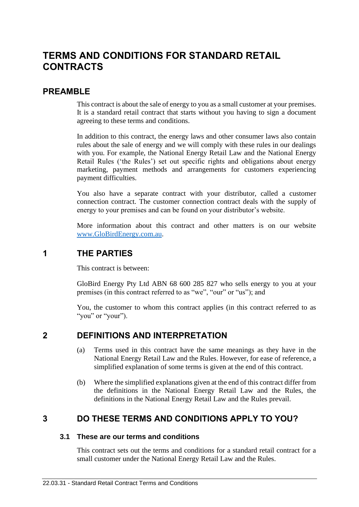# **TERMS AND CONDITIONS FOR STANDARD RETAIL CONTRACTS**

### **PREAMBLE**

This contract is about the sale of energy to you as a small customer at your premises. It is a standard retail contract that starts without you having to sign a document agreeing to these terms and conditions.

In addition to this contract, the energy laws and other consumer laws also contain rules about the sale of energy and we will comply with these rules in our dealings with you. For example, the National Energy Retail Law and the National Energy Retail Rules ('the Rules') set out specific rights and obligations about energy marketing, payment methods and arrangements for customers experiencing payment difficulties.

You also have a separate contract with your distributor, called a customer connection contract. The customer connection contract deals with the supply of energy to your premises and can be found on your distributor's website.

More information about this contract and other matters is on our website [www.GloBirdEnergy.com.au.](http://www.globirdenergy.com.au/)

## **1 THE PARTIES**

This contract is between:

GloBird Energy Pty Ltd ABN 68 600 285 827 who sells energy to you at your premises (in this contract referred to as "we", "our" or "us"); and

You, the customer to whom this contract applies (in this contract referred to as "you" or "your").

## **2 DEFINITIONS AND INTERPRETATION**

- (a) Terms used in this contract have the same meanings as they have in the National Energy Retail Law and the Rules. However, for ease of reference, a simplified explanation of some terms is given at the end of this contract.
- (b) Where the simplified explanations given at the end of this contract differ from the definitions in the National Energy Retail Law and the Rules, the definitions in the National Energy Retail Law and the Rules prevail.

# **3 DO THESE TERMS AND CONDITIONS APPLY TO YOU?**

### **3.1 These are our terms and conditions**

This contract sets out the terms and conditions for a standard retail contract for a small customer under the National Energy Retail Law and the Rules.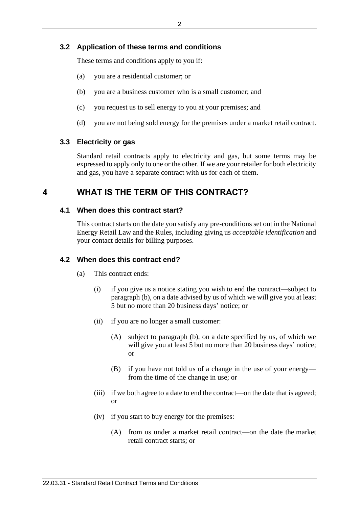### **3.2 Application of these terms and conditions**

These terms and conditions apply to you if:

- (a) you are a residential customer; or
- (b) you are a business customer who is a small customer; and
- (c) you request us to sell energy to you at your premises; and
- (d) you are not being sold energy for the premises under a market retail contract.

#### **3.3 Electricity or gas**

Standard retail contracts apply to electricity and gas, but some terms may be expressed to apply only to one or the other. If we are your retailer for both electricity and gas, you have a separate contract with us for each of them.

### **4 WHAT IS THE TERM OF THIS CONTRACT?**

#### **4.1 When does this contract start?**

This contract starts on the date you satisfy any pre-conditions set out in the National Energy Retail Law and the Rules, including giving us *acceptable identification* and your contact details for billing purposes.

#### **4.2 When does this contract end?**

- (a) This contract ends:
	- (i) if you give us a notice stating you wish to end the contract—subject to paragraph (b), on a date advised by us of which we will give you at least 5 but no more than 20 business days' notice; or
	- (ii) if you are no longer a small customer:
		- (A) subject to paragraph (b), on a date specified by us, of which we will give you at least 5 but no more than 20 business days' notice; or
		- (B) if you have not told us of a change in the use of your energy from the time of the change in use; or
	- (iii) if we both agree to a date to end the contract—on the date that is agreed; or
	- (iv) if you start to buy energy for the premises:
		- (A) from us under a market retail contract—on the date the market retail contract starts; or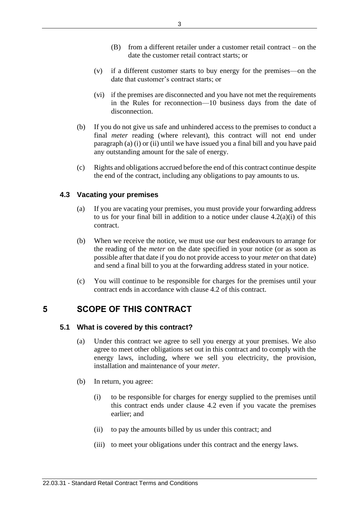- (B) from a different retailer under a customer retail contract on the date the customer retail contract starts; or
- (v) if a different customer starts to buy energy for the premises—on the date that customer's contract starts; or
- (vi) if the premises are disconnected and you have not met the requirements in the Rules for reconnection—10 business days from the date of disconnection.
- (b) If you do not give us safe and unhindered access to the premises to conduct a final *meter* reading (where relevant), this contract will not end under paragraph (a) (i) or (ii) until we have issued you a final bill and you have paid any outstanding amount for the sale of energy.
- (c) Rights and obligations accrued before the end of this contract continue despite the end of the contract, including any obligations to pay amounts to us.

### **4.3 Vacating your premises**

- (a) If you are vacating your premises, you must provide your forwarding address to us for your final bill in addition to a notice under clause  $4.2(a)(i)$  of this contract.
- (b) When we receive the notice, we must use our best endeavours to arrange for the reading of the *meter* on the date specified in your notice (or as soon as possible after that date if you do not provide access to your *meter* on that date) and send a final bill to you at the forwarding address stated in your notice.
- (c) You will continue to be responsible for charges for the premises until your contract ends in accordance with clause 4.2 of this contract.

# **5 SCOPE OF THIS CONTRACT**

### **5.1 What is covered by this contract?**

- (a) Under this contract we agree to sell you energy at your premises. We also agree to meet other obligations set out in this contract and to comply with the energy laws, including, where we sell you electricity, the provision, installation and maintenance of your *meter*.
- (b) In return, you agree:
	- (i) to be responsible for charges for energy supplied to the premises until this contract ends under clause 4.2 even if you vacate the premises earlier; and
	- (ii) to pay the amounts billed by us under this contract; and
	- (iii) to meet your obligations under this contract and the energy laws.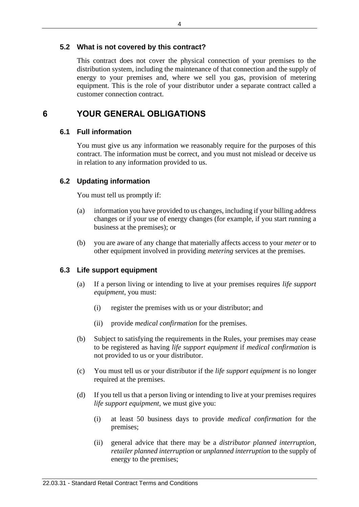### **5.2 What is not covered by this contract?**

This contract does not cover the physical connection of your premises to the distribution system, including the maintenance of that connection and the supply of energy to your premises and, where we sell you gas, provision of metering equipment. This is the role of your distributor under a separate contract called a customer connection contract.

## **6 YOUR GENERAL OBLIGATIONS**

### **6.1 Full information**

You must give us any information we reasonably require for the purposes of this contract. The information must be correct, and you must not mislead or deceive us in relation to any information provided to us.

### **6.2 Updating information**

You must tell us promptly if:

- (a) information you have provided to us changes, including if your billing address changes or if your use of energy changes (for example, if you start running a business at the premises); or
- (b) you are aware of any change that materially affects access to your *meter* or to other equipment involved in providing *metering* services at the premises.

#### **6.3 Life support equipment**

- (a) If a person living or intending to live at your premises requires *life support equipment*, you must:
	- (i) register the premises with us or your distributor; and
	- (ii) provide *medical confirmation* for the premises.
- (b) Subject to satisfying the requirements in the Rules, your premises may cease to be registered as having *life support equipment* if *medical confirmation* is not provided to us or your distributor.
- (c) You must tell us or your distributor if the *life support equipment* is no longer required at the premises.
- (d) If you tell us that a person living or intending to live at your premises requires *life support equipment*, we must give you:
	- (i) at least 50 business days to provide *medical confirmation* for the premises;
	- (ii) general advice that there may be a *distributor planned interruption*, *retailer planned interruption* or *unplanned interruption* to the supply of energy to the premises;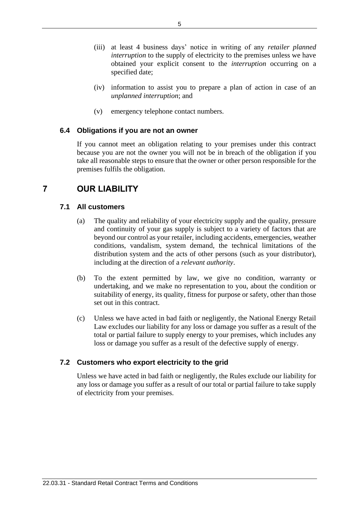- (iii) at least 4 business days' notice in writing of any *retailer planned interruption* to the supply of electricity to the premises unless we have obtained your explicit consent to the *interruption* occurring on a specified date;
- (iv) information to assist you to prepare a plan of action in case of an *unplanned interruption*; and
- (v) emergency telephone contact numbers.

### **6.4 Obligations if you are not an owner**

If you cannot meet an obligation relating to your premises under this contract because you are not the owner you will not be in breach of the obligation if you take all reasonable steps to ensure that the owner or other person responsible for the premises fulfils the obligation.

# **7 OUR LIABILITY**

### **7.1 All customers**

- (a) The quality and reliability of your electricity supply and the quality, pressure and continuity of your gas supply is subject to a variety of factors that are beyond our control as your retailer, including accidents, emergencies, weather conditions, vandalism, system demand, the technical limitations of the distribution system and the acts of other persons (such as your distributor), including at the direction of a *relevant authority*.
- (b) To the extent permitted by law, we give no condition, warranty or undertaking, and we make no representation to you, about the condition or suitability of energy, its quality, fitness for purpose or safety, other than those set out in this contract.
- (c) Unless we have acted in bad faith or negligently, the National Energy Retail Law excludes our liability for any loss or damage you suffer as a result of the total or partial failure to supply energy to your premises, which includes any loss or damage you suffer as a result of the defective supply of energy.

### **7.2 Customers who export electricity to the grid**

Unless we have acted in bad faith or negligently, the Rules exclude our liability for any loss or damage you suffer as a result of our total or partial failure to take supply of electricity from your premises.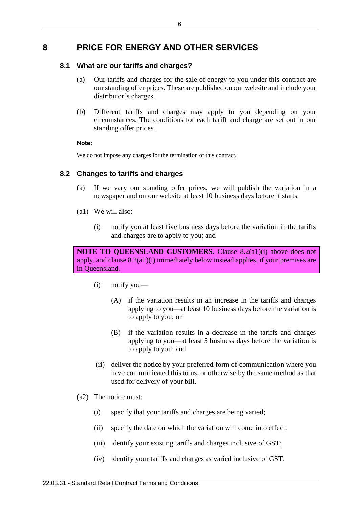# **8 PRICE FOR ENERGY AND OTHER SERVICES**

### **8.1 What are our tariffs and charges?**

- (a) Our tariffs and charges for the sale of energy to you under this contract are our standing offer prices. These are published on our website and include your distributor's charges.
- (b) Different tariffs and charges may apply to you depending on your circumstances. The conditions for each tariff and charge are set out in our standing offer prices.

#### **Note:**

We do not impose any charges for the termination of this contract.

### **8.2 Changes to tariffs and charges**

- (a) If we vary our standing offer prices, we will publish the variation in a newspaper and on our website at least 10 business days before it starts.
- (a1) We will also:
	- (i) notify you at least five business days before the variation in the tariffs and charges are to apply to you; and

**NOTE TO QUEENSLAND CUSTOMERS.** Clause 8.2(a1)(i) above does not apply, and clause 8.2(a1)(i) immediately below instead applies, if your premises are in Queensland.

- (i) notify you—
	- (A) if the variation results in an increase in the tariffs and charges applying to you—at least 10 business days before the variation is to apply to you; or
	- (B) if the variation results in a decrease in the tariffs and charges applying to you—at least 5 business days before the variation is to apply to you; and
- (ii) deliver the notice by your preferred form of communication where you have communicated this to us, or otherwise by the same method as that used for delivery of your bill.
- (a2) The notice must:
	- (i) specify that your tariffs and charges are being varied;
	- (ii) specify the date on which the variation will come into effect;
	- (iii) identify your existing tariffs and charges inclusive of GST;
	- (iv) identify your tariffs and charges as varied inclusive of GST;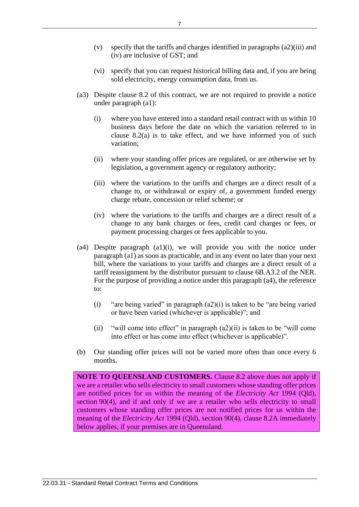- (v) specify that the tariffs and charges identified in paragraphs (a2)(iii) and (iv) are inclusive of GST; and
- (vi) specify that you can request historical billing data and, if you are being sold electricity, energy consumption data, from us.
- (a3) Despite clause 8.2 of this contract, we are not required to provide a notice under paragraph (a1):
	- (i) where you have entered into a standard retail contract with us within 10 business days before the date on which the variation referred to in clause 8.2(a) is to take effect, and we have informed you of such variation;
	- (ii) where your standing offer prices are regulated, or are otherwise set by legislation, a government agency or regulatory authority;
	- (iii) where the variations to the tariffs and charges are a direct result of a change to, or withdrawal or expiry of, a government funded energy charge rebate, concession or relief scheme; or
	- (iv) where the variations to the tariffs and charges are a direct result of a change to any bank charges or fees, credit card charges or fees, or payment processing charges or fees applicable to you.
- (a4) Despite paragraph (a1)(i), we will provide you with the notice under paragraph (a1) as soon as practicable, and in any event no later than your next bill, where the variations to your tariffs and charges are a direct result of a tariff reassignment by the distributor pursuant to clause 6B.A3.2 of the NER. For the purpose of providing a notice under this paragraph (a4), the reference to:
	- (i) "are being varied" in paragraph  $(a2)(i)$  is taken to be "are being varied or have been varied (whichever is applicable)"; and
	- (ii) "will come into effect" in paragraph  $(a2)(ii)$  is taken to be "will come into effect or has come into effect (whichever is applicable)".
- (b) Our standing offer prices will not be varied more often than once every 6 months.

**NOTE TO QUEENSLAND CUSTOMERS.** Clause 8.2 above does not apply if we are a retailer who sells electricity to small customers whose standing offer prices are notified prices for us within the meaning of the *[Electricity Act](https://www.legislation.qld.gov.au/link?version.series.id=9906752b-4e97-4fa7-8f1e-9e2cbb7fb2b6&doc.id=act-1994-064&date=2019-06-25&type=act)* 1994 (Qld), [section](https://www.legislation.qld.gov.au/link?guid=_b7e58db6-c4ea-463c-895e-7a3ea67a921d&id=sec.90&version.series.id=9906752b-4e97-4fa7-8f1e-9e2cbb7fb2b6&doc.id=act-1994-064&date=2019-06-25&type=act) 90(4), and if and only if we are a retailer who sells electricity to small customers whose standing offer prices are not notified prices for us within the meaning of the *[Electricity Act](https://www.legislation.qld.gov.au/link?version.series.id=9906752b-4e97-4fa7-8f1e-9e2cbb7fb2b6&doc.id=act-1994-064&date=2019-06-25&type=act)* 1994 (Qld), [section](https://www.legislation.qld.gov.au/link?guid=_b7e58db6-c4ea-463c-895e-7a3ea67a921d&id=sec.90&version.series.id=9906752b-4e97-4fa7-8f1e-9e2cbb7fb2b6&doc.id=act-1994-064&date=2019-06-25&type=act) 90(4), clause 8.2A immediately below applies, if your premises are in Queensland.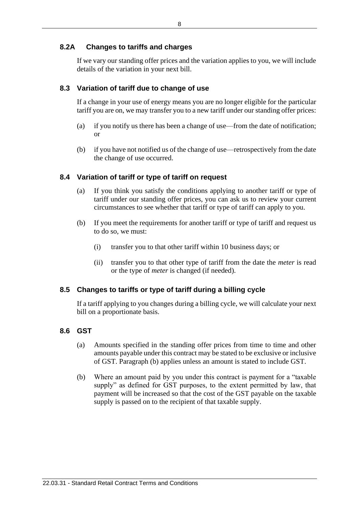### **8.2A Changes to tariffs and charges**

If we vary our standing offer prices and the variation applies to you, we will include details of the variation in your next bill.

### **8.3 Variation of tariff due to change of use**

If a change in your use of energy means you are no longer eligible for the particular tariff you are on, we may transfer you to a new tariff under our standing offer prices:

- (a) if you notify us there has been a change of use—from the date of notification; or
- (b) if you have not notified us of the change of use—retrospectively from the date the change of use occurred.

### **8.4 Variation of tariff or type of tariff on request**

- (a) If you think you satisfy the conditions applying to another tariff or type of tariff under our standing offer prices, you can ask us to review your current circumstances to see whether that tariff or type of tariff can apply to you.
- (b) If you meet the requirements for another tariff or type of tariff and request us to do so, we must:
	- (i) transfer you to that other tariff within 10 business days; or
	- (ii) transfer you to that other type of tariff from the date the *meter* is read or the type of *meter* is changed (if needed).

### **8.5 Changes to tariffs or type of tariff during a billing cycle**

If a tariff applying to you changes during a billing cycle, we will calculate your next bill on a proportionate basis.

### **8.6 GST**

- (a) Amounts specified in the standing offer prices from time to time and other amounts payable under this contract may be stated to be exclusive or inclusive of GST. Paragraph (b) applies unless an amount is stated to include GST.
- (b) Where an amount paid by you under this contract is payment for a "taxable supply" as defined for GST purposes, to the extent permitted by law, that payment will be increased so that the cost of the GST payable on the taxable supply is passed on to the recipient of that taxable supply.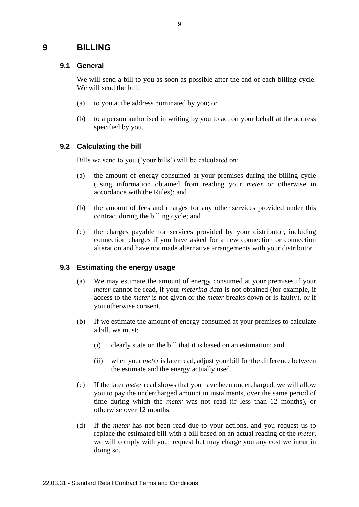## **9 BILLING**

### **9.1 General**

We will send a bill to you as soon as possible after the end of each billing cycle. We will send the bill:

- (a) to you at the address nominated by you; or
- (b) to a person authorised in writing by you to act on your behalf at the address specified by you.

### **9.2 Calculating the bill**

Bills we send to you ('your bills') will be calculated on:

- (a) the amount of energy consumed at your premises during the billing cycle (using information obtained from reading your *meter* or otherwise in accordance with the Rules); and
- (b) the amount of fees and charges for any other services provided under this contract during the billing cycle; and
- (c) the charges payable for services provided by your distributor, including connection charges if you have asked for a new connection or connection alteration and have not made alternative arrangements with your distributor.

### **9.3 Estimating the energy usage**

- (a) We may estimate the amount of energy consumed at your premises if your *meter* cannot be read, if your *metering data* is not obtained (for example, if access to the *meter* is not given or the *meter* breaks down or is faulty), or if you otherwise consent.
- (b) If we estimate the amount of energy consumed at your premises to calculate a bill, we must:
	- (i) clearly state on the bill that it is based on an estimation; and
	- (ii) when your *meter*is later read, adjust your bill for the difference between the estimate and the energy actually used.
- (c) If the later *meter* read shows that you have been undercharged, we will allow you to pay the undercharged amount in instalments, over the same period of time during which the *meter* was not read (if less than 12 months), or otherwise over 12 months.
- (d) If the *meter* has not been read due to your actions, and you request us to replace the estimated bill with a bill based on an actual reading of the *meter*, we will comply with your request but may charge you any cost we incur in doing so.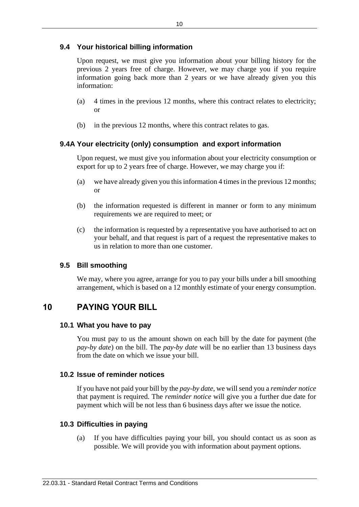### **9.4 Your historical billing information**

Upon request, we must give you information about your billing history for the previous 2 years free of charge. However, we may charge you if you require information going back more than 2 years or we have already given you this information:

- (a) 4 times in the previous 12 months, where this contract relates to electricity; or
- (b) in the previous 12 months, where this contract relates to gas.

### **9.4A Your electricity (only) consumption and export information**

Upon request, we must give you information about your electricity consumption or export for up to 2 years free of charge. However, we may charge you if:

- (a) we have already given you this information 4 times in the previous 12 months; or
- (b) the information requested is different in manner or form to any minimum requirements we are required to meet; or
- (c) the information is requested by a representative you have authorised to act on your behalf, and that request is part of a request the representative makes to us in relation to more than one customer.

### **9.5 Bill smoothing**

We may, where you agree, arrange for you to pay your bills under a bill smoothing arrangement, which is based on a 12 monthly estimate of your energy consumption.

# **10 PAYING YOUR BILL**

### **10.1 What you have to pay**

You must pay to us the amount shown on each bill by the date for payment (the *pay-by date*) on the bill. The *pay-by date* will be no earlier than 13 business days from the date on which we issue your bill.

### **10.2 Issue of reminder notices**

If you have not paid your bill by the *pay-by date*, we will send you a *reminder notice* that payment is required. The *reminder notice* will give you a further due date for payment which will be not less than 6 business days after we issue the notice.

### **10.3 Difficulties in paying**

(a) If you have difficulties paying your bill, you should contact us as soon as possible. We will provide you with information about payment options.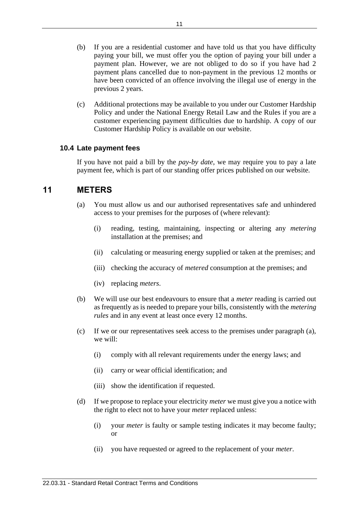- (b) If you are a residential customer and have told us that you have difficulty paying your bill, we must offer you the option of paying your bill under a payment plan. However, we are not obliged to do so if you have had 2 payment plans cancelled due to non-payment in the previous 12 months or have been convicted of an offence involving the illegal use of energy in the previous 2 years.
- (c) Additional protections may be available to you under our Customer Hardship Policy and under the National Energy Retail Law and the Rules if you are a customer experiencing payment difficulties due to hardship. A copy of our Customer Hardship Policy is available on our website.

### **10.4 Late payment fees**

If you have not paid a bill by the *pay-by date*, we may require you to pay a late payment fee, which is part of our standing offer prices published on our website.

## **11 METERS**

- (a) You must allow us and our authorised representatives safe and unhindered access to your premises for the purposes of (where relevant):
	- (i) reading, testing, maintaining, inspecting or altering any *metering* installation at the premises; and
	- (ii) calculating or measuring energy supplied or taken at the premises; and
	- (iii) checking the accuracy of *metered* consumption at the premises; and
	- (iv) replacing *meters*.
- (b) We will use our best endeavours to ensure that a *meter* reading is carried out as frequently as is needed to prepare your bills, consistently with the *metering rules* and in any event at least once every 12 months.
- (c) If we or our representatives seek access to the premises under paragraph (a), we will:
	- (i) comply with all relevant requirements under the energy laws; and
	- (ii) carry or wear official identification; and
	- (iii) show the identification if requested.
- (d) If we propose to replace your electricity *meter* we must give you a notice with the right to elect not to have your *meter* replaced unless:
	- (i) your *meter* is faulty or sample testing indicates it may become faulty; or
	- (ii) you have requested or agreed to the replacement of your *meter*.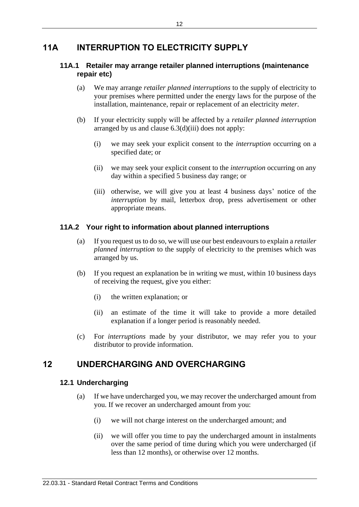# **11A INTERRUPTION TO ELECTRICITY SUPPLY**

### **11A.1 Retailer may arrange retailer planned interruptions (maintenance repair etc)**

- (a) We may arrange *retailer planned interruptions* to the supply of electricity to your premises where permitted under the energy laws for the purpose of the installation, maintenance, repair or replacement of an electricity *meter*.
- (b) If your electricity supply will be affected by a *retailer planned interruption* arranged by us and clause 6.3(d)(iii) does not apply:
	- (i) we may seek your explicit consent to the *interruption* occurring on a specified date; or
	- (ii) we may seek your explicit consent to the *interruption* occurring on any day within a specified 5 business day range; or
	- (iii) otherwise, we will give you at least 4 business days' notice of the *interruption* by mail, letterbox drop, press advertisement or other appropriate means.

### **11A.2 Your right to information about planned interruptions**

- (a) If you request us to do so, we will use our best endeavours to explain a *retailer planned interruption* to the supply of electricity to the premises which was arranged by us.
- (b) If you request an explanation be in writing we must, within 10 business days of receiving the request, give you either:
	- (i) the written explanation; or
	- (ii) an estimate of the time it will take to provide a more detailed explanation if a longer period is reasonably needed.
- (c) For *interruptions* made by your distributor, we may refer you to your distributor to provide information.

# **12 UNDERCHARGING AND OVERCHARGING**

### **12.1 Undercharging**

- (a) If we have undercharged you, we may recover the undercharged amount from you. If we recover an undercharged amount from you:
	- (i) we will not charge interest on the undercharged amount; and
	- (ii) we will offer you time to pay the undercharged amount in instalments over the same period of time during which you were undercharged (if less than 12 months), or otherwise over 12 months.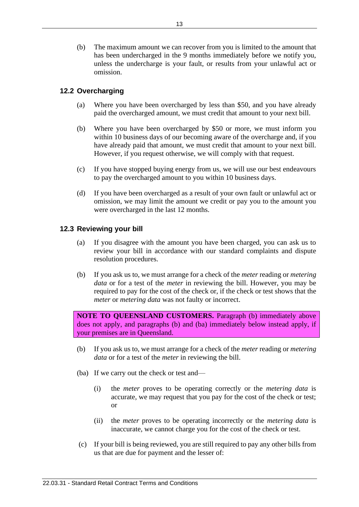(b) The maximum amount we can recover from you is limited to the amount that has been undercharged in the 9 months immediately before we notify you, unless the undercharge is your fault, or results from your unlawful act or omission.

### **12.2 Overcharging**

- (a) Where you have been overcharged by less than \$50, and you have already paid the overcharged amount, we must credit that amount to your next bill.
- (b) Where you have been overcharged by \$50 or more, we must inform you within 10 business days of our becoming aware of the overcharge and, if you have already paid that amount, we must credit that amount to your next bill. However, if you request otherwise, we will comply with that request.
- (c) If you have stopped buying energy from us, we will use our best endeavours to pay the overcharged amount to you within 10 business days.
- (d) If you have been overcharged as a result of your own fault or unlawful act or omission, we may limit the amount we credit or pay you to the amount you were overcharged in the last 12 months.

### **12.3 Reviewing your bill**

- (a) If you disagree with the amount you have been charged, you can ask us to review your bill in accordance with our standard complaints and dispute resolution procedures.
- (b) If you ask us to, we must arrange for a check of the *meter* reading or *metering data* or for a test of the *meter* in reviewing the bill. However, you may be required to pay for the cost of the check or, if the check or test shows that the *meter* or *metering data* was not faulty or incorrect.

**NOTE TO QUEENSLAND CUSTOMERS.** Paragraph (b) immediately above does not apply, and paragraphs (b) and (ba) immediately below instead apply, if your premises are in Queensland.

- (b) If you ask us to, we must arrange for a check of the *meter* reading or *metering data* or for a test of the *meter* in reviewing the bill.
- (ba) If we carry out the check or test and—
	- (i) the *meter* proves to be operating correctly or the *metering data* is accurate, we may request that you pay for the cost of the check or test; or
	- (ii) the *meter* proves to be operating incorrectly or the *metering data* is inaccurate, we cannot charge you for the cost of the check or test.
- (c) If your bill is being reviewed, you are still required to pay any other bills from us that are due for payment and the lesser of: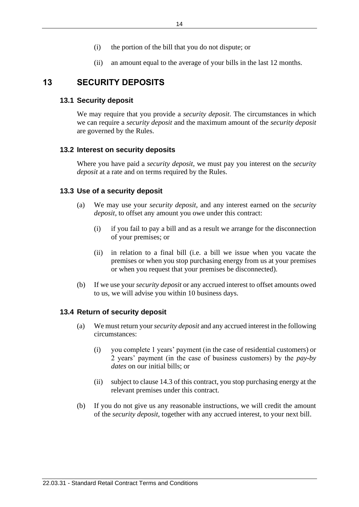- (i) the portion of the bill that you do not dispute; or
- (ii) an amount equal to the average of your bills in the last 12 months.

### **13 SECURITY DEPOSITS**

#### **13.1 Security deposit**

We may require that you provide a *security deposit*. The circumstances in which we can require a *security deposit* and the maximum amount of the *security deposit* are governed by the Rules.

#### **13.2 Interest on security deposits**

Where you have paid a *security deposit*, we must pay you interest on the *security deposit* at a rate and on terms required by the Rules.

#### **13.3 Use of a security deposit**

- (a) We may use your *security deposit*, and any interest earned on the *security deposit*, to offset any amount you owe under this contract:
	- (i) if you fail to pay a bill and as a result we arrange for the disconnection of your premises; or
	- (ii) in relation to a final bill (i.e. a bill we issue when you vacate the premises or when you stop purchasing energy from us at your premises or when you request that your premises be disconnected).
- (b) If we use your *security deposit* or any accrued interest to offset amounts owed to us, we will advise you within 10 business days.

#### **13.4 Return of security deposit**

- (a) We must return your *security deposit* and any accrued interest in the following circumstances:
	- (i) you complete 1 years' payment (in the case of residential customers) or 2 years' payment (in the case of business customers) by the *pay-by dates* on our initial bills; or
	- (ii) subject to clause 14.3 of this contract, you stop purchasing energy at the relevant premises under this contract.
- (b) If you do not give us any reasonable instructions, we will credit the amount of the *security deposit*, together with any accrued interest, to your next bill.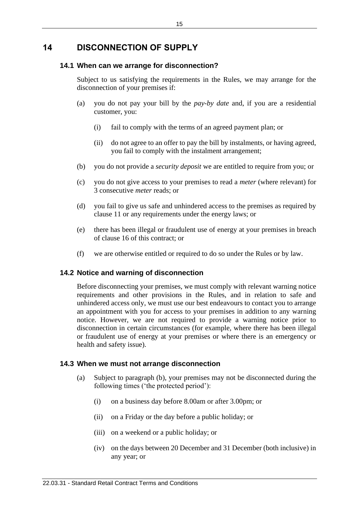## **14 DISCONNECTION OF SUPPLY**

### **14.1 When can we arrange for disconnection?**

Subject to us satisfying the requirements in the Rules, we may arrange for the disconnection of your premises if:

- (a) you do not pay your bill by the *pay-by date* and, if you are a residential customer, you:
	- (i) fail to comply with the terms of an agreed payment plan; or
	- (ii) do not agree to an offer to pay the bill by instalments, or having agreed, you fail to comply with the instalment arrangement;
- (b) you do not provide a *security deposit* we are entitled to require from you; or
- (c) you do not give access to your premises to read a *meter* (where relevant) for 3 consecutive *meter* reads; or
- (d) you fail to give us safe and unhindered access to the premises as required by clause 11 or any requirements under the energy laws; or
- (e) there has been illegal or fraudulent use of energy at your premises in breach of clause 16 of this contract; or
- (f) we are otherwise entitled or required to do so under the Rules or by law.

### **14.2 Notice and warning of disconnection**

Before disconnecting your premises, we must comply with relevant warning notice requirements and other provisions in the Rules, and in relation to safe and unhindered access only, we must use our best endeavours to contact you to arrange an appointment with you for access to your premises in addition to any warning notice. However, we are not required to provide a warning notice prior to disconnection in certain circumstances (for example, where there has been illegal or fraudulent use of energy at your premises or where there is an emergency or health and safety issue).

### **14.3 When we must not arrange disconnection**

- (a) Subject to paragraph (b), your premises may not be disconnected during the following times ('the protected period'):
	- (i) on a business day before 8.00am or after 3.00pm; or
	- (ii) on a Friday or the day before a public holiday; or
	- (iii) on a weekend or a public holiday; or
	- (iv) on the days between 20 December and 31 December (both inclusive) in any year; or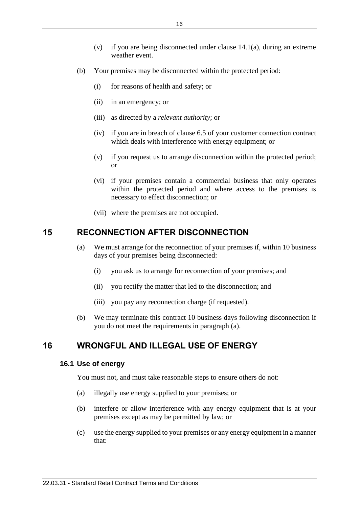- (v) if you are being disconnected under clause  $14.1(a)$ , during an extreme weather event.
- (b) Your premises may be disconnected within the protected period:
	- (i) for reasons of health and safety; or
	- (ii) in an emergency; or
	- (iii) as directed by a *relevant authority*; or
	- (iv) if you are in breach of clause 6.5 of your customer connection contract which deals with interference with energy equipment; or
	- (v) if you request us to arrange disconnection within the protected period; or
	- (vi) if your premises contain a commercial business that only operates within the protected period and where access to the premises is necessary to effect disconnection; or
	- (vii) where the premises are not occupied.

# **15 RECONNECTION AFTER DISCONNECTION**

- (a) We must arrange for the reconnection of your premises if, within 10 business days of your premises being disconnected:
	- (i) you ask us to arrange for reconnection of your premises; and
	- (ii) you rectify the matter that led to the disconnection; and
	- (iii) you pay any reconnection charge (if requested).
- (b) We may terminate this contract 10 business days following disconnection if you do not meet the requirements in paragraph (a).

# **16 WRONGFUL AND ILLEGAL USE OF ENERGY**

### **16.1 Use of energy**

You must not, and must take reasonable steps to ensure others do not:

- (a) illegally use energy supplied to your premises; or
- (b) interfere or allow interference with any energy equipment that is at your premises except as may be permitted by law; or
- (c) use the energy supplied to your premises or any energy equipment in a manner that: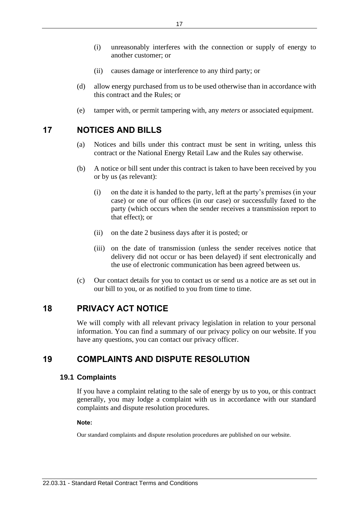- (i) unreasonably interferes with the connection or supply of energy to another customer; or
- (ii) causes damage or interference to any third party; or
- (d) allow energy purchased from us to be used otherwise than in accordance with this contract and the Rules; or
- (e) tamper with, or permit tampering with, any *meters* or associated equipment.

# **17 NOTICES AND BILLS**

- (a) Notices and bills under this contract must be sent in writing, unless this contract or the National Energy Retail Law and the Rules say otherwise.
- (b) A notice or bill sent under this contract is taken to have been received by you or by us (as relevant):
	- (i) on the date it is handed to the party, left at the party's premises (in your case) or one of our offices (in our case) or successfully faxed to the party (which occurs when the sender receives a transmission report to that effect); or
	- (ii) on the date 2 business days after it is posted; or
	- (iii) on the date of transmission (unless the sender receives notice that delivery did not occur or has been delayed) if sent electronically and the use of electronic communication has been agreed between us.
- (c) Our contact details for you to contact us or send us a notice are as set out in our bill to you, or as notified to you from time to time.

# **18 PRIVACY ACT NOTICE**

We will comply with all relevant privacy legislation in relation to your personal information. You can find a summary of our privacy policy on our website. If you have any questions, you can contact our privacy officer.

# **19 COMPLAINTS AND DISPUTE RESOLUTION**

### **19.1 Complaints**

If you have a complaint relating to the sale of energy by us to you, or this contract generally, you may lodge a complaint with us in accordance with our standard complaints and dispute resolution procedures.

### **Note:**

Our standard complaints and dispute resolution procedures are published on our website.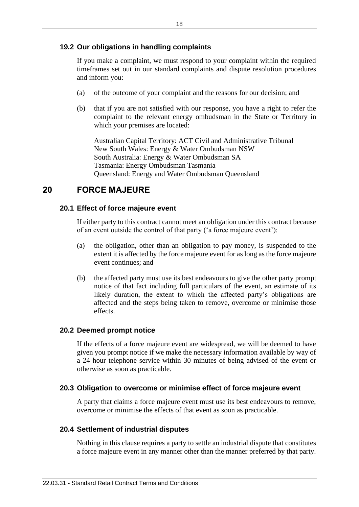### **19.2 Our obligations in handling complaints**

If you make a complaint, we must respond to your complaint within the required timeframes set out in our standard complaints and dispute resolution procedures and inform you:

- (a) of the outcome of your complaint and the reasons for our decision; and
- (b) that if you are not satisfied with our response, you have a right to refer the complaint to the relevant energy ombudsman in the State or Territory in which your premises are located:

Australian Capital Territory: ACT Civil and Administrative Tribunal New South Wales: Energy & Water Ombudsman NSW South Australia: Energy & Water Ombudsman SA Tasmania: Energy Ombudsman Tasmania Queensland: Energy and Water Ombudsman Queensland

## **20 FORCE MAJEURE**

### **20.1 Effect of force majeure event**

If either party to this contract cannot meet an obligation under this contract because of an event outside the control of that party ('a force majeure event'):

- (a) the obligation, other than an obligation to pay money, is suspended to the extent it is affected by the force majeure event for as long as the force majeure event continues; and
- (b) the affected party must use its best endeavours to give the other party prompt notice of that fact including full particulars of the event, an estimate of its likely duration, the extent to which the affected party's obligations are affected and the steps being taken to remove, overcome or minimise those effects.

#### **20.2 Deemed prompt notice**

If the effects of a force majeure event are widespread, we will be deemed to have given you prompt notice if we make the necessary information available by way of a 24 hour telephone service within 30 minutes of being advised of the event or otherwise as soon as practicable.

#### **20.3 Obligation to overcome or minimise effect of force majeure event**

A party that claims a force majeure event must use its best endeavours to remove, overcome or minimise the effects of that event as soon as practicable.

#### **20.4 Settlement of industrial disputes**

Nothing in this clause requires a party to settle an industrial dispute that constitutes a force majeure event in any manner other than the manner preferred by that party.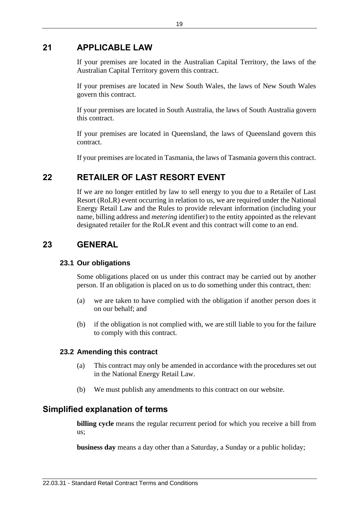## **21 APPLICABLE LAW**

If your premises are located in the Australian Capital Territory, the laws of the Australian Capital Territory govern this contract.

If your premises are located in New South Wales, the laws of New South Wales govern this contract.

If your premises are located in South Australia, the laws of South Australia govern this contract.

If your premises are located in Queensland, the laws of Queensland govern this contract.

If your premises are located in Tasmania, the laws of Tasmania govern this contract.

# **22 RETAILER OF LAST RESORT EVENT**

If we are no longer entitled by law to sell energy to you due to a Retailer of Last Resort (RoLR) event occurring in relation to us, we are required under the National Energy Retail Law and the Rules to provide relevant information (including your name, billing address and *metering* identifier) to the entity appointed as the relevant designated retailer for the RoLR event and this contract will come to an end.

## **23 GENERAL**

### **23.1 Our obligations**

Some obligations placed on us under this contract may be carried out by another person. If an obligation is placed on us to do something under this contract, then:

- (a) we are taken to have complied with the obligation if another person does it on our behalf; and
- (b) if the obligation is not complied with, we are still liable to you for the failure to comply with this contract.

### **23.2 Amending this contract**

- (a) This contract may only be amended in accordance with the procedures set out in the National Energy Retail Law.
- (b) We must publish any amendments to this contract on our website.

# **Simplified explanation of terms**

**billing cycle** means the regular recurrent period for which you receive a bill from us;

**business day** means a day other than a Saturday, a Sunday or a public holiday;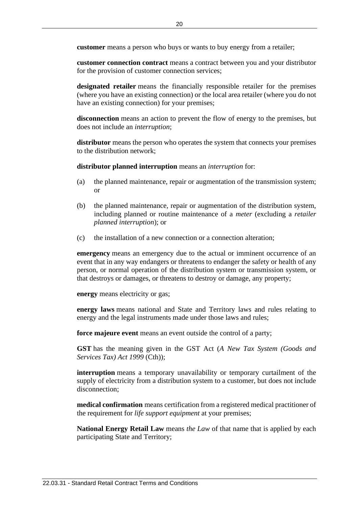**customer** means a person who buys or wants to buy energy from a retailer;

**customer connection contract** means a contract between you and your distributor for the provision of customer connection services;

**designated retailer** means the financially responsible retailer for the premises (where you have an existing connection) or the local area retailer (where you do not have an existing connection) for your premises;

**disconnection** means an action to prevent the flow of energy to the premises, but does not include an *interruption*;

**distributor** means the person who operates the system that connects your premises to the distribution network;

**distributor planned interruption** means an *interruption* for:

- (a) the planned maintenance, repair or augmentation of the transmission system; or
- (b) the planned maintenance, repair or augmentation of the distribution system, including planned or routine maintenance of a *meter* (excluding a *retailer planned interruption*); or
- (c) the installation of a new connection or a connection alteration;

**emergency** means an emergency due to the actual or imminent occurrence of an event that in any way endangers or threatens to endanger the safety or health of any person, or normal operation of the distribution system or transmission system, or that destroys or damages, or threatens to destroy or damage, any property;

**energy** means electricity or gas;

**energy laws** means national and State and Territory laws and rules relating to energy and the legal instruments made under those laws and rules;

**force majeure event** means an event outside the control of a party;

**GST** has the meaning given in the GST Act (*A New Tax System (Goods and Services Tax) Act 1999* (Cth));

**interruption** means a temporary unavailability or temporary curtailment of the supply of electricity from a distribution system to a customer, but does not include disconnection:

**medical confirmation** means certification from a registered medical practitioner of the requirement for *life support equipment* at your premises;

**National Energy Retail Law** means *the Law* of that name that is applied by each participating State and Territory;